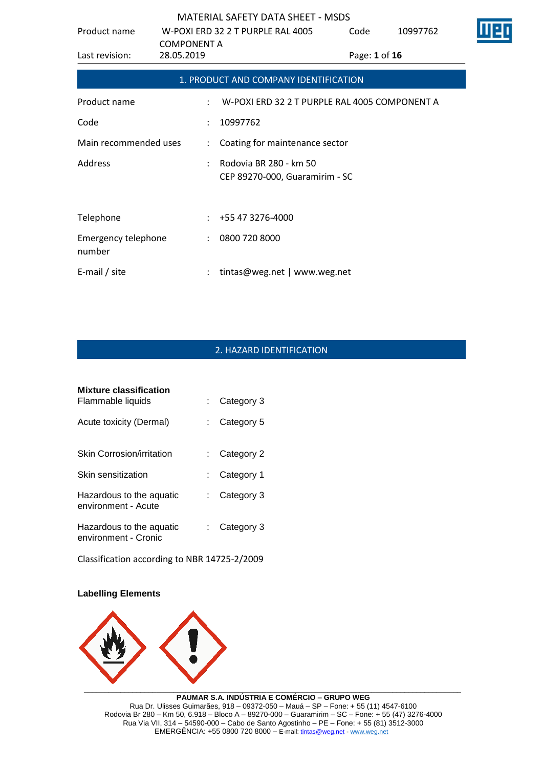| Product name                         |                                  | W-POXI ERD 32 2 T PURPLE RAL 4005                        | Code          | 10997762 |  |
|--------------------------------------|----------------------------------|----------------------------------------------------------|---------------|----------|--|
| Last revision:                       | <b>COMPONENT A</b><br>28.05.2019 |                                                          | Page: 1 of 16 |          |  |
|                                      |                                  | 1. PRODUCT AND COMPANY IDENTIFICATION                    |               |          |  |
| Product name                         | $\ddot{\cdot}$                   | W-POXI ERD 32 2 T PURPLE RAL 4005 COMPONENT A            |               |          |  |
| Code                                 | $\ddot{\phantom{a}}$             | 10997762                                                 |               |          |  |
| Main recommended uses                | ÷                                | Coating for maintenance sector                           |               |          |  |
| Address                              |                                  | Rodovia BR 280 - km 50<br>CEP 89270-000, Guaramirim - SC |               |          |  |
|                                      |                                  |                                                          |               |          |  |
| Telephone                            | ÷                                | +55 47 3276-4000                                         |               |          |  |
| <b>Emergency telephone</b><br>number |                                  | 0800 720 8000                                            |               |          |  |
| E-mail / site                        |                                  | tintas@weg.net   www.weg.net                             |               |          |  |

# 2. HAZARD IDENTIFICATION

| <b>Mixture classification</b>                    |      |            |
|--------------------------------------------------|------|------------|
| Flammable liquids                                | t in | Category 3 |
| Acute toxicity (Dermal)                          | t.   | Category 5 |
| <b>Skin Corrosion/irritation</b>                 |      | Category 2 |
| Skin sensitization                               |      | Category 1 |
| Hazardous to the aquatic<br>environment - Acute  | t.   | Category 3 |
| Hazardous to the aquatic<br>environment - Cronic |      | Category 3 |

Classification according to NBR 14725-2/2009

## **Labelling Elements**



**PAUMAR S.A. INDÚSTRIA E COMÉRCIO – GRUPO WEG** Rua Dr. Ulisses Guimarães, 918 – 09372-050 – Mauá – SP – Fone: + 55 (11) 4547-6100 Rodovia Br 280 – Km 50, 6.918 – Bloco A – 89270-000 – Guaramirim – SC – Fone: + 55 (47) 3276-4000 Rua Via VII, 314 – 54590-000 – Cabo de Santo Agostinho – PE – Fone: + 55 (81) 3512-3000 EMERGËNCIA: +55 0800 720 8000 – E-mail[: tintas@weg.net](mailto:tintas@weg.net) - [www.weg.net](http://www.weg.net/)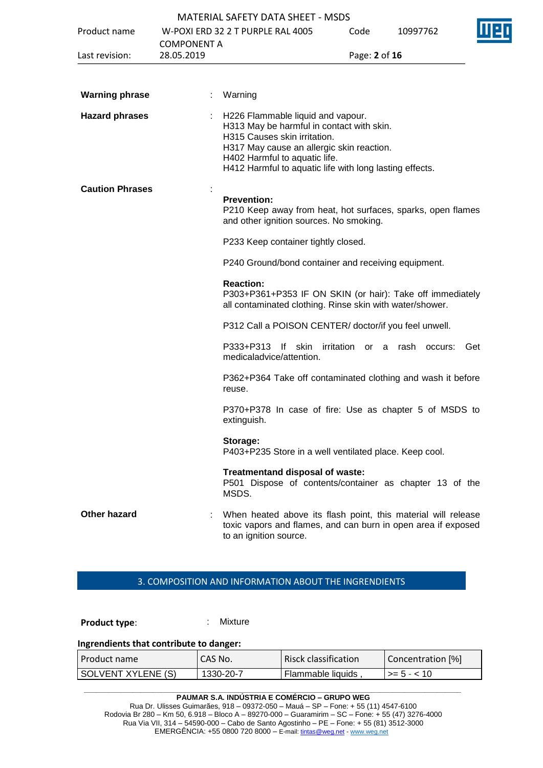|                        |                                  | <b>MATERIAL SAFETY DATA SHEET - MSDS</b>                                                                                                                                                                                                                |                      |          |     |
|------------------------|----------------------------------|---------------------------------------------------------------------------------------------------------------------------------------------------------------------------------------------------------------------------------------------------------|----------------------|----------|-----|
| Product name           |                                  | W-POXI ERD 32 2 T PURPLE RAL 4005                                                                                                                                                                                                                       | Code                 | 10997762 |     |
| Last revision:         | <b>COMPONENT A</b><br>28.05.2019 |                                                                                                                                                                                                                                                         | Page: 2 of 16        |          |     |
|                        |                                  |                                                                                                                                                                                                                                                         |                      |          |     |
| <b>Warning phrase</b>  |                                  | Warning                                                                                                                                                                                                                                                 |                      |          |     |
| <b>Hazard phrases</b>  |                                  | H226 Flammable liquid and vapour.<br>H313 May be harmful in contact with skin.<br>H315 Causes skin irritation.<br>H317 May cause an allergic skin reaction.<br>H402 Harmful to aquatic life.<br>H412 Harmful to aquatic life with long lasting effects. |                      |          |     |
| <b>Caution Phrases</b> |                                  | <b>Prevention:</b><br>P210 Keep away from heat, hot surfaces, sparks, open flames<br>and other ignition sources. No smoking.                                                                                                                            |                      |          |     |
|                        |                                  | P233 Keep container tightly closed.                                                                                                                                                                                                                     |                      |          |     |
|                        |                                  | P240 Ground/bond container and receiving equipment.                                                                                                                                                                                                     |                      |          |     |
|                        |                                  | <b>Reaction:</b><br>P303+P361+P353 IF ON SKIN (or hair): Take off immediately<br>all contaminated clothing. Rinse skin with water/shower.                                                                                                               |                      |          |     |
|                        |                                  | P312 Call a POISON CENTER/ doctor/if you feel unwell.                                                                                                                                                                                                   |                      |          |     |
|                        |                                  | P333+P313<br>lf skin<br>medicaladvice/attention.                                                                                                                                                                                                        | irritation or a rash | occurs:  | Get |
|                        |                                  | P362+P364 Take off contaminated clothing and wash it before<br>reuse.                                                                                                                                                                                   |                      |          |     |
|                        |                                  | P370+P378 In case of fire: Use as chapter 5 of MSDS to<br>extinguish.                                                                                                                                                                                   |                      |          |     |
|                        |                                  | Storage:<br>P403+P235 Store in a well ventilated place. Keep cool.                                                                                                                                                                                      |                      |          |     |
|                        |                                  | Treatmentand disposal of waste:<br>P501 Dispose of contents/container as chapter 13 of the<br>MSDS.                                                                                                                                                     |                      |          |     |
| <b>Other hazard</b>    |                                  | When heated above its flash point, this material will release<br>toxic vapors and flames, and can burn in open area if exposed<br>to an ignition source.                                                                                                |                      |          |     |

## 3. COMPOSITION AND INFORMATION ABOUT THE INGRENDIENTS

**Product type:** : : : : : : Mixture

### **Ingrendients that contribute to danger:**

| l Product name       | CAS No.   | Risck classification | Concentration [%]   |
|----------------------|-----------|----------------------|---------------------|
| I SOLVENT XYLENE (S) | 1330-20-7 | Flammable liquids    | $\vert$ >= 5 - < 10 |

**PAUMAR S.A. INDÚSTRIA E COMÉRCIO – GRUPO WEG** Rua Dr. Ulisses Guimarães, 918 – 09372-050 – Mauá – SP – Fone: + 55 (11) 4547-6100 Rodovia Br 280 – Km 50, 6.918 – Bloco A – 89270-000 – Guaramirim – SC – Fone: + 55 (47) 3276-4000 Rua Via VII, 314 – 54590-000 – Cabo de Santo Agostinho – PE – Fone: + 55 (81) 3512-3000 EMERGËNCIA: +55 0800 720 8000 – E-mail[: tintas@weg.net](mailto:tintas@weg.net) - [www.weg.net](http://www.weg.net/)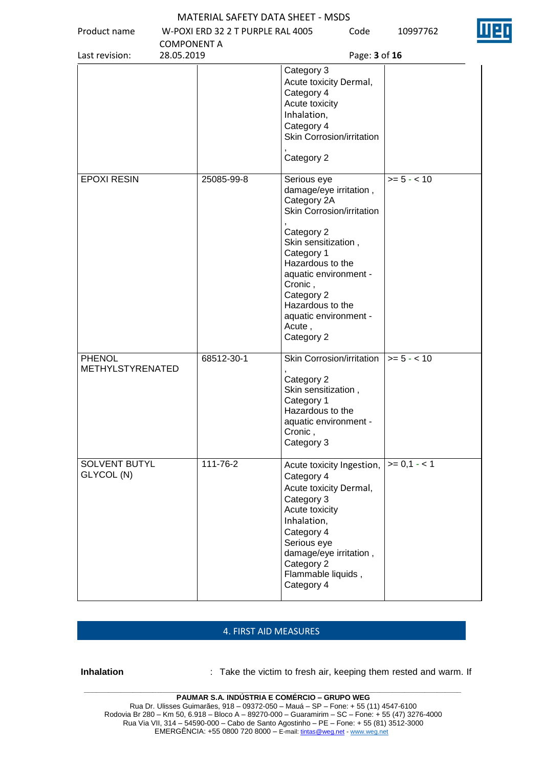| Product name                       | W-POXI ERD 32 2 T PURPLE RAL 4005 | Code                                                                                                                                                                                                                      | 10997762      |
|------------------------------------|-----------------------------------|---------------------------------------------------------------------------------------------------------------------------------------------------------------------------------------------------------------------------|---------------|
|                                    | <b>COMPONENT A</b>                |                                                                                                                                                                                                                           |               |
| Last revision:                     | 28.05.2019                        |                                                                                                                                                                                                                           | Page: 3 of 16 |
|                                    |                                   | Category 3<br>Acute toxicity Dermal,<br>Category 4<br>Acute toxicity<br>Inhalation,<br>Category 4<br>Skin Corrosion/irritation                                                                                            |               |
|                                    |                                   | Category 2                                                                                                                                                                                                                |               |
| <b>EPOXI RESIN</b>                 | 25085-99-8                        | Serious eye<br>damage/eye irritation,<br>Category 2A<br>Skin Corrosion/irritation<br>Category 2                                                                                                                           | $>= 5 - < 10$ |
|                                    |                                   | Skin sensitization,<br>Category 1<br>Hazardous to the<br>aquatic environment -<br>Cronic,<br>Category 2<br>Hazardous to the<br>aquatic environment -<br>Acute,<br>Category 2                                              |               |
| <b>PHENOL</b><br>METHYLSTYRENATED  | 68512-30-1                        | Skin Corrosion/irritation<br>Category 2<br>Skin sensitization,<br>Category 1<br>Hazardous to the<br>aquatic environment -<br>Cronic,<br>Category 3                                                                        | $>= 5 - < 10$ |
| <b>SOLVENT BUTYL</b><br>GLYCOL (N) | 111-76-2                          | Acute toxicity Ingestion,<br>Category 4<br>Acute toxicity Dermal,<br>Category 3<br>Acute toxicity<br>Inhalation,<br>Category 4<br>Serious eye<br>damage/eye irritation,<br>Category 2<br>Flammable liquids,<br>Category 4 | $>= 0,1 - 1$  |

### 4. FIRST AID MEASURES

**Inhalation** : Take the victim to fresh air, keeping them rested and warm. If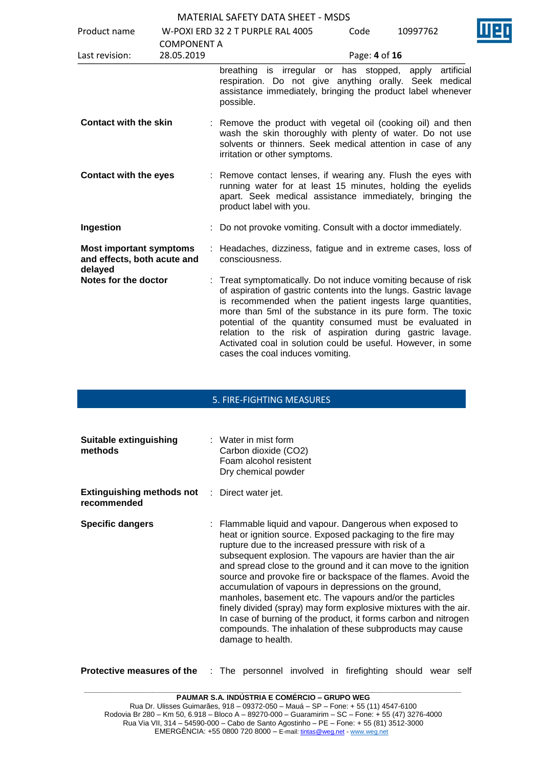| Product name                                                             |                                  | W-POXI ERD 32 2 T PURPLE RAL 4005                                                                                                                                                                                                                                                                                                                                                                                                                                                          | Code          | 10997762            |
|--------------------------------------------------------------------------|----------------------------------|--------------------------------------------------------------------------------------------------------------------------------------------------------------------------------------------------------------------------------------------------------------------------------------------------------------------------------------------------------------------------------------------------------------------------------------------------------------------------------------------|---------------|---------------------|
| Last revision:                                                           | <b>COMPONENT A</b><br>28.05.2019 |                                                                                                                                                                                                                                                                                                                                                                                                                                                                                            | Page: 4 of 16 |                     |
|                                                                          |                                  | is irregular or has stopped,<br>breathing<br>respiration. Do not give anything orally. Seek medical<br>assistance immediately, bringing the product label whenever<br>possible.                                                                                                                                                                                                                                                                                                            |               | artificial<br>apply |
| <b>Contact with the skin</b>                                             |                                  | : Remove the product with vegetal oil (cooking oil) and then<br>wash the skin thoroughly with plenty of water. Do not use<br>solvents or thinners. Seek medical attention in case of any<br>irritation or other symptoms.                                                                                                                                                                                                                                                                  |               |                     |
| <b>Contact with the eyes</b>                                             |                                  | Remove contact lenses, if wearing any. Flush the eyes with<br>running water for at least 15 minutes, holding the eyelids<br>apart. Seek medical assistance immediately, bringing the<br>product label with you.                                                                                                                                                                                                                                                                            |               |                     |
| Ingestion                                                                |                                  | Do not provoke vomiting. Consult with a doctor immediately.                                                                                                                                                                                                                                                                                                                                                                                                                                |               |                     |
| <b>Most important symptoms</b><br>and effects, both acute and<br>delayed |                                  | Headaches, dizziness, fatigue and in extreme cases, loss of<br>consciousness.                                                                                                                                                                                                                                                                                                                                                                                                              |               |                     |
| Notes for the doctor                                                     |                                  | : Treat symptomatically. Do not induce vomiting because of risk<br>of aspiration of gastric contents into the lungs. Gastric lavage<br>is recommended when the patient ingests large quantities,<br>more than 5ml of the substance in its pure form. The toxic<br>potential of the quantity consumed must be evaluated in<br>relation to the risk of aspiration during gastric lavage.<br>Activated coal in solution could be useful. However, in some<br>cases the coal induces vomiting. |               |                     |

## 5. FIRE-FIGHTING MEASURES

| Suitable extinguishing<br>methods               | $\therefore$ Water in mist form<br>Carbon dioxide (CO2)<br>Foam alcohol resistent<br>Dry chemical powder                                                                                                                                                                                                                                                                                                                                                                                                                                                                                                                                                                                                                    |
|-------------------------------------------------|-----------------------------------------------------------------------------------------------------------------------------------------------------------------------------------------------------------------------------------------------------------------------------------------------------------------------------------------------------------------------------------------------------------------------------------------------------------------------------------------------------------------------------------------------------------------------------------------------------------------------------------------------------------------------------------------------------------------------------|
| <b>Extinguishing methods not</b><br>recommended | : Direct water jet.                                                                                                                                                                                                                                                                                                                                                                                                                                                                                                                                                                                                                                                                                                         |
| <b>Specific dangers</b>                         | : Flammable liquid and vapour. Dangerous when exposed to<br>heat or ignition source. Exposed packaging to the fire may<br>rupture due to the increased pressure with risk of a<br>subsequent explosion. The vapours are havier than the air<br>and spread close to the ground and it can move to the ignition<br>source and provoke fire or backspace of the flames. Avoid the<br>accumulation of vapours in depressions on the ground,<br>manholes, basement etc. The vapours and/or the particles<br>finely divided (spray) may form explosive mixtures with the air.<br>In case of burning of the product, it forms carbon and nitrogen<br>compounds. The inhalation of these subproducts may cause<br>damage to health. |

**Protective measures of the** : The personnel involved in firefighting should wear self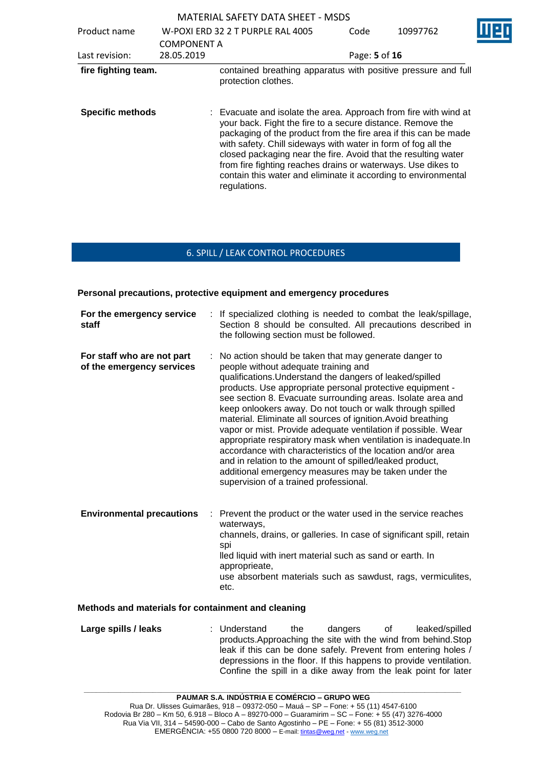MATERIAL SAFETY DATA SHEET - MSDS Product name W-POXI ERD 32 2 T PURPLE RAL 4005 COMPONENT A<br>28.05.2019 Code 10997762 Last revision: 28.05.2019 Page: **5** of **16 fire fighting team.** contained breathing apparatus with positive pressure and full protection clothes. **Specific methods** : Evacuate and isolate the area. Approach from fire with wind at your back. Fight the fire to a secure distance. Remove the packaging of the product from the fire area if this can be made with safety. Chill sideways with water in form of fog all the closed packaging near the fire. Avoid that the resulting water from fire fighting reaches drains or waterways. Use dikes to contain this water and eliminate it according to environmental regulations.

## 6. SPILL / LEAK CONTROL PROCEDURES

**Personal precautions, protective equipment and emergency procedures**

| For the emergency service<br>staff                      |   | : If specialized clothing is needed to combat the leak/spillage,<br>Section 8 should be consulted. All precautions described in<br>the following section must be followed.                                                                                                                                                                                                                                                                                                                                                                                                                                                                                                                                                                                                          |
|---------------------------------------------------------|---|-------------------------------------------------------------------------------------------------------------------------------------------------------------------------------------------------------------------------------------------------------------------------------------------------------------------------------------------------------------------------------------------------------------------------------------------------------------------------------------------------------------------------------------------------------------------------------------------------------------------------------------------------------------------------------------------------------------------------------------------------------------------------------------|
| For staff who are not part<br>of the emergency services |   | No action should be taken that may generate danger to<br>people without adequate training and<br>qualifications. Understand the dangers of leaked/spilled<br>products. Use appropriate personal protective equipment -<br>see section 8. Evacuate surrounding areas. Isolate area and<br>keep onlookers away. Do not touch or walk through spilled<br>material. Eliminate all sources of ignition. Avoid breathing<br>vapor or mist. Provide adequate ventilation if possible. Wear<br>appropriate respiratory mask when ventilation is inadequate. In<br>accordance with characteristics of the location and/or area<br>and in relation to the amount of spilled/leaked product,<br>additional emergency measures may be taken under the<br>supervision of a trained professional. |
| <b>Environmental precautions</b>                        | ÷ | Prevent the product or the water used in the service reaches<br>waterways,<br>channels, drains, or galleries. In case of significant spill, retain<br>spi<br>lled liquid with inert material such as sand or earth. In<br>approprieate,                                                                                                                                                                                                                                                                                                                                                                                                                                                                                                                                             |

use absorbent materials such as sawdust, rags, vermiculites, etc.

### **Methods and materials for containment and cleaning**

**Large spills / leaks** : Understand the dangers of leaked/spilled products.Approaching the site with the wind from behind.Stop leak if this can be done safely. Prevent from entering holes / depressions in the floor. If this happens to provide ventilation. Confine the spill in a dike away from the leak point for later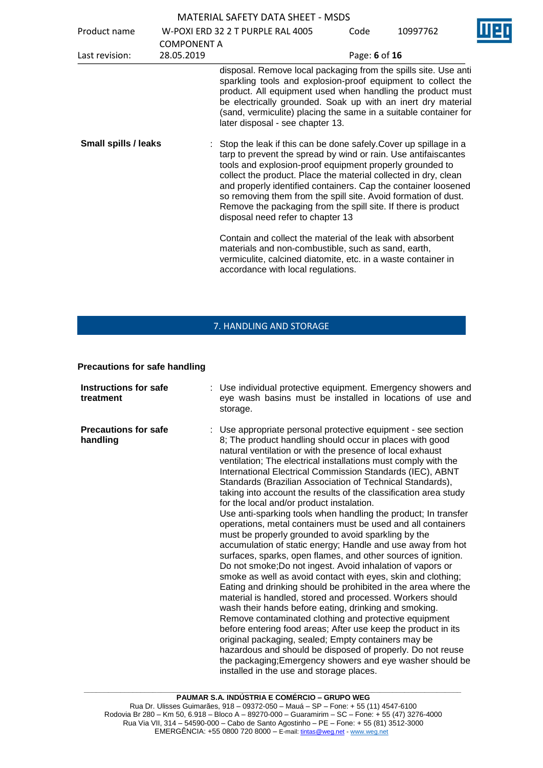| Product name                | W-POXI ERD 32 2 T PURPLE RAL 4005 |                                                                                                                                                                                                                                                                                                                                                                                                                                                                                                               | Code          | 10997762 | П |
|-----------------------------|-----------------------------------|---------------------------------------------------------------------------------------------------------------------------------------------------------------------------------------------------------------------------------------------------------------------------------------------------------------------------------------------------------------------------------------------------------------------------------------------------------------------------------------------------------------|---------------|----------|---|
| Last revision:              | <b>COMPONENT A</b><br>28.05.2019  |                                                                                                                                                                                                                                                                                                                                                                                                                                                                                                               | Page: 6 of 16 |          |   |
|                             |                                   | disposal. Remove local packaging from the spills site. Use anti<br>sparkling tools and explosion-proof equipment to collect the<br>product. All equipment used when handling the product must<br>be electrically grounded. Soak up with an inert dry material<br>(sand, vermiculite) placing the same in a suitable container for<br>later disposal - see chapter 13.                                                                                                                                         |               |          |   |
| <b>Small spills / leaks</b> |                                   | : Stop the leak if this can be done safely. Cover up spillage in a<br>tarp to prevent the spread by wind or rain. Use antifaiscantes<br>tools and explosion-proof equipment properly grounded to<br>collect the product. Place the material collected in dry, clean<br>and properly identified containers. Cap the container loosened<br>so removing them from the spill site. Avoid formation of dust.<br>Remove the packaging from the spill site. If there is product<br>disposal need refer to chapter 13 |               |          |   |
|                             |                                   | Contain and collect the material of the leak with absorbent<br>materials and non-combustible, such as sand, earth,<br>vermiculite, calcined diatomite, etc. in a waste container in<br>accordance with local regulations.                                                                                                                                                                                                                                                                                     |               |          |   |

# 7. HANDLING AND STORAGE

## **Precautions for safe handling**

| <b>Instructions for safe</b><br>treatment | : Use individual protective equipment. Emergency showers and<br>eye wash basins must be installed in locations of use and<br>storage.                                                                                                                                                                                                                                                                                                                                                                                                                                                                                                                                                                                                                                                                                                                                                                                                                                                                                                                                                                                                                                                                                                                                                                                                                                                                                                                                                                      |
|-------------------------------------------|------------------------------------------------------------------------------------------------------------------------------------------------------------------------------------------------------------------------------------------------------------------------------------------------------------------------------------------------------------------------------------------------------------------------------------------------------------------------------------------------------------------------------------------------------------------------------------------------------------------------------------------------------------------------------------------------------------------------------------------------------------------------------------------------------------------------------------------------------------------------------------------------------------------------------------------------------------------------------------------------------------------------------------------------------------------------------------------------------------------------------------------------------------------------------------------------------------------------------------------------------------------------------------------------------------------------------------------------------------------------------------------------------------------------------------------------------------------------------------------------------------|
| <b>Precautions for safe</b><br>handling   | : Use appropriate personal protective equipment - see section<br>8; The product handling should occur in places with good<br>natural ventilation or with the presence of local exhaust<br>ventilation; The electrical installations must comply with the<br>International Electrical Commission Standards (IEC), ABNT<br>Standards (Brazilian Association of Technical Standards),<br>taking into account the results of the classification area study<br>for the local and/or product instalation.<br>Use anti-sparking tools when handling the product; In transfer<br>operations, metal containers must be used and all containers<br>must be properly grounded to avoid sparkling by the<br>accumulation of static energy; Handle and use away from hot<br>surfaces, sparks, open flames, and other sources of ignition.<br>Do not smoke; Do not ingest. Avoid inhalation of vapors or<br>smoke as well as avoid contact with eyes, skin and clothing;<br>Eating and drinking should be prohibited in the area where the<br>material is handled, stored and processed. Workers should<br>wash their hands before eating, drinking and smoking.<br>Remove contaminated clothing and protective equipment<br>before entering food areas; After use keep the product in its<br>original packaging, sealed; Empty containers may be<br>hazardous and should be disposed of properly. Do not reuse<br>the packaging; Emergency showers and eye washer should be<br>installed in the use and storage places. |
|                                           |                                                                                                                                                                                                                                                                                                                                                                                                                                                                                                                                                                                                                                                                                                                                                                                                                                                                                                                                                                                                                                                                                                                                                                                                                                                                                                                                                                                                                                                                                                            |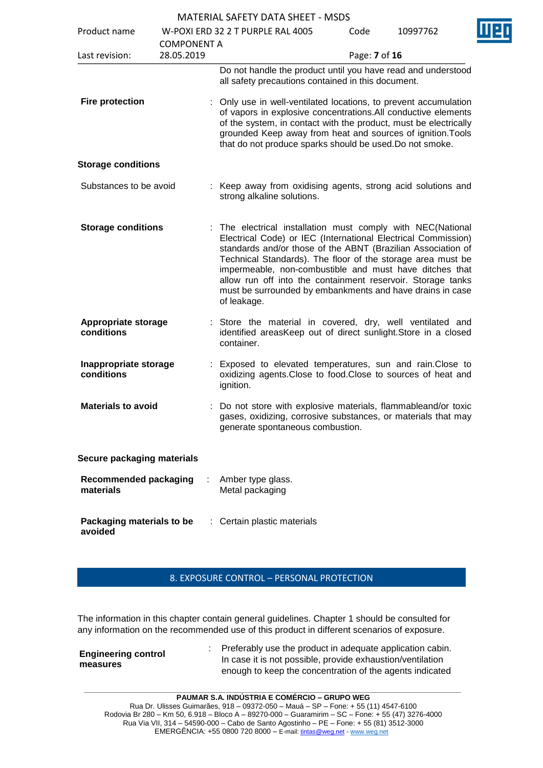|                                           |                    | MATENIAL SAFETT DATA SHEET - MISDS                                                                                                                                                                                                                                                                                                                                                                                                                              |               |          |  |
|-------------------------------------------|--------------------|-----------------------------------------------------------------------------------------------------------------------------------------------------------------------------------------------------------------------------------------------------------------------------------------------------------------------------------------------------------------------------------------------------------------------------------------------------------------|---------------|----------|--|
| Product name                              |                    | W-POXI ERD 32 2 T PURPLE RAL 4005                                                                                                                                                                                                                                                                                                                                                                                                                               | Code          | 10997762 |  |
|                                           | <b>COMPONENT A</b> |                                                                                                                                                                                                                                                                                                                                                                                                                                                                 |               |          |  |
| Last revision:                            | 28.05.2019         |                                                                                                                                                                                                                                                                                                                                                                                                                                                                 | Page: 7 of 16 |          |  |
| <b>Fire protection</b>                    |                    | Do not handle the product until you have read and understood<br>all safety precautions contained in this document.<br>Only use in well-ventilated locations, to prevent accumulation<br>of vapors in explosive concentrations. All conductive elements<br>of the system, in contact with the product, must be electrically<br>grounded Keep away from heat and sources of ignition. Tools<br>that do not produce sparks should be used. Do not smoke.           |               |          |  |
| <b>Storage conditions</b>                 |                    |                                                                                                                                                                                                                                                                                                                                                                                                                                                                 |               |          |  |
| Substances to be avoid                    |                    | : Keep away from oxidising agents, strong acid solutions and<br>strong alkaline solutions.                                                                                                                                                                                                                                                                                                                                                                      |               |          |  |
| <b>Storage conditions</b>                 |                    | The electrical installation must comply with NEC(National<br>Electrical Code) or IEC (International Electrical Commission)<br>standards and/or those of the ABNT (Brazilian Association of<br>Technical Standards). The floor of the storage area must be<br>impermeable, non-combustible and must have ditches that<br>allow run off into the containment reservoir. Storage tanks<br>must be surrounded by embankments and have drains in case<br>of leakage. |               |          |  |
| <b>Appropriate storage</b><br>conditions  |                    | Store the material in covered, dry, well ventilated and<br>identified areasKeep out of direct sunlight.Store in a closed<br>container.                                                                                                                                                                                                                                                                                                                          |               |          |  |
| Inappropriate storage<br>conditions       |                    | Exposed to elevated temperatures, sun and rain. Close to<br>oxidizing agents. Close to food. Close to sources of heat and<br>ignition.                                                                                                                                                                                                                                                                                                                          |               |          |  |
| <b>Materials to avoid</b>                 |                    | : Do not store with explosive materials, flammableand/or toxic<br>gases, oxidizing, corrosive substances, or materials that may<br>generate spontaneous combustion.                                                                                                                                                                                                                                                                                             |               |          |  |
| Secure packaging materials                |                    |                                                                                                                                                                                                                                                                                                                                                                                                                                                                 |               |          |  |
| <b>Recommended packaging</b><br>materials |                    | Amber type glass.<br>Metal packaging                                                                                                                                                                                                                                                                                                                                                                                                                            |               |          |  |
| Packaging materials to be<br>avoided      |                    | : Certain plastic materials                                                                                                                                                                                                                                                                                                                                                                                                                                     |               |          |  |

## 8. EXPOSURE CONTROL – PERSONAL PROTECTION

The information in this chapter contain general guidelines. Chapter 1 should be consulted for any information on the recommended use of this product in different scenarios of exposure.

| <b>Engineering control</b> | Preferably use the product in adequate application cabin.  |
|----------------------------|------------------------------------------------------------|
| measures                   | In case it is not possible, provide exhaustion/ventilation |
|                            | enough to keep the concentration of the agents indicated   |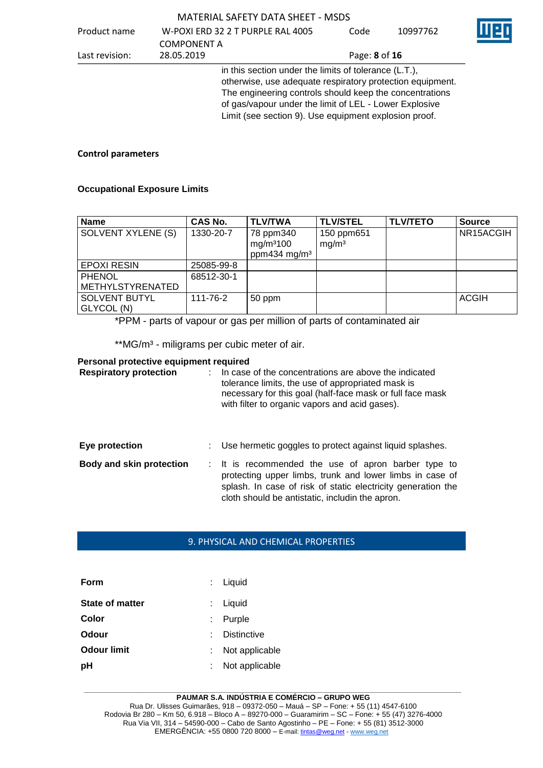| Product name   |                    | W-POXI ERD 32 2 T PURPLE RAL 4005                                                                                  | Code          | 10997762 |
|----------------|--------------------|--------------------------------------------------------------------------------------------------------------------|---------------|----------|
|                | <b>COMPONENT A</b> |                                                                                                                    |               |          |
| Last revision: | 28.05.2019         |                                                                                                                    | Page: 8 of 16 |          |
|                |                    | in this section under the limits of tolerance (L.T.),<br>otherwise, use adequate respiratory protection equipment. |               |          |
|                |                    | The engineering controls should keep the concentrations<br>of gas/vapour under the limit of LEL - Lower Explosive  |               |          |

## **Control parameters**

### **Occupational Exposure Limits**

| Name               | CAS No.    | <b>TLV/TWA</b>                     | <b>TLV/STEL</b>                 | <b>TLV/TETO</b> | <b>Source</b> |
|--------------------|------------|------------------------------------|---------------------------------|-----------------|---------------|
| SOLVENT XYLENE (S) | 1330-20-7  | 78 ppm340<br>mg/m <sup>3</sup> 100 | 150 ppm651<br>mq/m <sup>3</sup> |                 | NR15ACGIH     |
|                    |            | ppm434 mg/m <sup>3</sup>           |                                 |                 |               |
| <b>EPOXI RESIN</b> | 25085-99-8 |                                    |                                 |                 |               |
| <b>PHENOL</b>      | 68512-30-1 |                                    |                                 |                 |               |
| METHYLSTYRENATED   |            |                                    |                                 |                 |               |
| SOLVENT BUTYL      | 111-76-2   | 50 ppm                             |                                 |                 | <b>ACGIH</b>  |
| GLYCOL (N)         |            |                                    |                                 |                 |               |

Limit (see section 9). Use equipment explosion proof.

\*PPM - parts of vapour or gas per million of parts of contaminated air

\*\* MG/m<sup>3</sup> - miligrams per cubic meter of air.

### **Personal protective equipment required**

| <b>Respiratory protection</b>   | In case of the concentrations are above the indicated<br>tolerance limits, the use of appropriated mask is<br>necessary for this goal (half-face mask or full face mask<br>with filter to organic vapors and acid gases).          |
|---------------------------------|------------------------------------------------------------------------------------------------------------------------------------------------------------------------------------------------------------------------------------|
| Eye protection                  | Use hermetic goggles to protect against liquid splashes.                                                                                                                                                                           |
| <b>Body and skin protection</b> | : It is recommended the use of apron barber type to<br>protecting upper limbs, trunk and lower limbs in case of<br>splash. In case of risk of static electricity generation the<br>cloth should be antistatic, includin the apron. |

## 9. PHYSICAL AND CHEMICAL PROPERTIES

| Form                   | : Liquid           |
|------------------------|--------------------|
| <b>State of matter</b> | : Liquid           |
| Color                  | Purple             |
| Odour                  | <b>Distinctive</b> |
| <b>Odour limit</b>     | Not applicable     |
| pH                     | Not applicable     |

#### **\_\_\_\_\_\_\_\_\_\_\_\_\_\_\_\_\_\_\_\_\_\_\_\_\_\_\_\_\_\_\_\_\_\_\_\_\_\_\_\_\_\_\_\_\_\_\_\_\_\_\_\_\_\_\_\_\_\_\_\_\_\_\_\_\_\_\_\_\_\_\_\_\_\_\_\_\_\_\_\_\_\_\_\_\_\_\_\_\_\_\_\_\_ PAUMAR S.A. INDÚSTRIA E COMÉRCIO – GRUPO WEG**

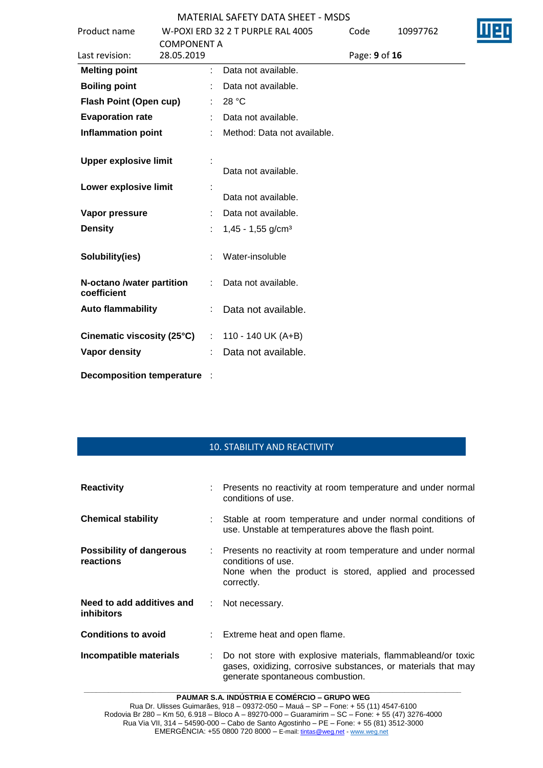|                                          |                               | <u> MATERIAL SAFETT DATA SHEET - MSDS</u> |               |          |  |
|------------------------------------------|-------------------------------|-------------------------------------------|---------------|----------|--|
| Product name                             |                               | W-POXI ERD 32 2 T PURPLE RAL 4005         | Code          | 10997762 |  |
|                                          | <b>COMPONENT A</b>            |                                           |               |          |  |
| Last revision:                           | 28.05.2019                    |                                           | Page: 9 of 16 |          |  |
| <b>Melting point</b>                     |                               | Data not available.                       |               |          |  |
| <b>Boiling point</b>                     |                               | Data not available.                       |               |          |  |
| <b>Flash Point (Open cup)</b>            |                               | 28 °C                                     |               |          |  |
| <b>Evaporation rate</b>                  |                               | Data not available.                       |               |          |  |
| <b>Inflammation point</b>                |                               | Method: Data not available.               |               |          |  |
| <b>Upper explosive limit</b>             |                               |                                           |               |          |  |
|                                          |                               | Data not available.                       |               |          |  |
| Lower explosive limit                    |                               |                                           |               |          |  |
|                                          |                               | Data not available.                       |               |          |  |
| Vapor pressure                           |                               | Data not available.                       |               |          |  |
| <b>Density</b>                           |                               | $1,45 - 1,55$ g/cm <sup>3</sup>           |               |          |  |
| Solubility(ies)                          |                               | Water-insoluble                           |               |          |  |
| N-octano /water partition<br>coefficient | ÷.                            | Data not available.                       |               |          |  |
| <b>Auto flammability</b>                 |                               | Data not available.                       |               |          |  |
| Cinematic viscosity (25°C)               | $\mathcal{I}^{\mathcal{I}}$ . | 110 - 140 UK (A+B)                        |               |          |  |
| Vapor density                            |                               | Data not available.                       |               |          |  |
| <b>Decomposition temperature</b>         |                               |                                           |               |          |  |

# 10. STABILITY AND REACTIVITY

| <b>Reactivity</b>                              | : Presents no reactivity at room temperature and under normal<br>conditions of use.                                                                               |
|------------------------------------------------|-------------------------------------------------------------------------------------------------------------------------------------------------------------------|
| <b>Chemical stability</b>                      | : Stable at room temperature and under normal conditions of<br>use. Unstable at temperatures above the flash point.                                               |
| <b>Possibility of dangerous</b><br>reactions   | : Presents no reactivity at room temperature and under normal<br>conditions of use.<br>None when the product is stored, applied and processed<br>correctly.       |
| Need to add additives and<br><b>inhibitors</b> | : Not necessary.                                                                                                                                                  |
| <b>Conditions to avoid</b>                     | : Extreme heat and open flame.                                                                                                                                    |
| Incompatible materials                         | Do not store with explosive materials, flammableand/or toxic<br>gases, oxidizing, corrosive substances, or materials that may<br>generate spontaneous combustion. |

**\_\_\_\_\_\_\_\_\_\_\_\_\_\_\_\_\_\_\_\_\_\_\_\_\_\_\_\_\_\_\_\_\_\_\_\_\_\_\_\_\_\_\_\_\_\_\_\_\_\_\_\_\_\_\_\_\_\_\_\_\_\_\_\_\_\_\_\_\_\_\_\_\_\_\_\_\_\_\_\_\_\_\_\_\_\_\_\_\_\_\_\_\_ PAUMAR S.A. INDÚSTRIA E COMÉRCIO – GRUPO WEG**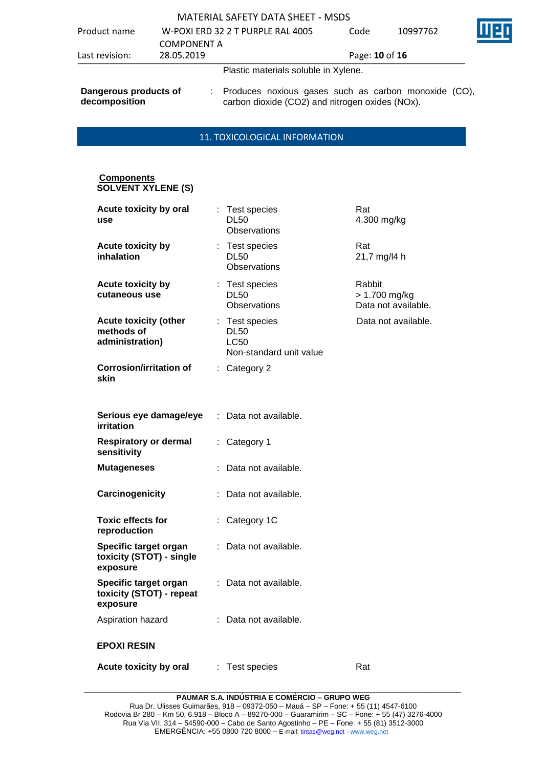| Product name                           | <b>COMPONENT A</b> | W-POXI ERD 32 2 T PURPLE RAL 4005                                                                         | Code           | 10997762 |  |
|----------------------------------------|--------------------|-----------------------------------------------------------------------------------------------------------|----------------|----------|--|
| Last revision:                         | 28.05.2019         |                                                                                                           | Page: 10 of 16 |          |  |
|                                        |                    | Plastic materials soluble in Xylene.                                                                      |                |          |  |
| Dangerous products of<br>decomposition |                    | : Produces noxious gases such as carbon monoxide (CO),<br>carbon dioxide (CO2) and nitrogen oxides (NOx). |                |          |  |

## 11. TOXICOLOGICAL INFORMATION

#### **Components SOLVENT XYLENE (S)**

| Acute toxicity by oral<br>use                                 |    | Test species<br><b>DL50</b><br>Observations                             | Rat<br>4.300 mg/kg                             |
|---------------------------------------------------------------|----|-------------------------------------------------------------------------|------------------------------------------------|
| <b>Acute toxicity by</b><br>inhalation                        |    | : Test species<br><b>DL50</b><br>Observations                           | Rat<br>21,7 mg/l4 h                            |
| <b>Acute toxicity by</b><br>cutaneous use                     |    | : Test species<br><b>DL50</b><br>Observations                           | Rabbit<br>> 1.700 mg/kg<br>Data not available. |
| <b>Acute toxicity (other</b><br>methods of<br>administration) |    | : Test species<br><b>DL50</b><br><b>LC50</b><br>Non-standard unit value | Data not available.                            |
| <b>Corrosion/irritation of</b><br>skin                        | t. | Category 2                                                              |                                                |
| Serious eye damage/eye<br>irritation                          |    | Data not available.                                                     |                                                |
| <b>Respiratory or dermal</b><br>sensitivity                   | ÷. | Category 1                                                              |                                                |
| Mutageneses                                                   |    | Data not available.                                                     |                                                |
| Carcinogenicity                                               |    | Data not available.                                                     |                                                |
| <b>Toxic effects for</b><br>reproduction                      | ÷. | Category 1C                                                             |                                                |
| Specific target organ<br>toxicity (STOT) - single<br>exposure |    | Data not available.                                                     |                                                |
| Specific target organ<br>toxicity (STOT) - repeat<br>exposure | ÷. | Data not available.                                                     |                                                |
| Aspiration hazard                                             | ÷. | Data not available.                                                     |                                                |
| <b>EPOXI RESIN</b>                                            |    |                                                                         |                                                |
| Acute toxicity by oral                                        |    | : Test species                                                          | Rat                                            |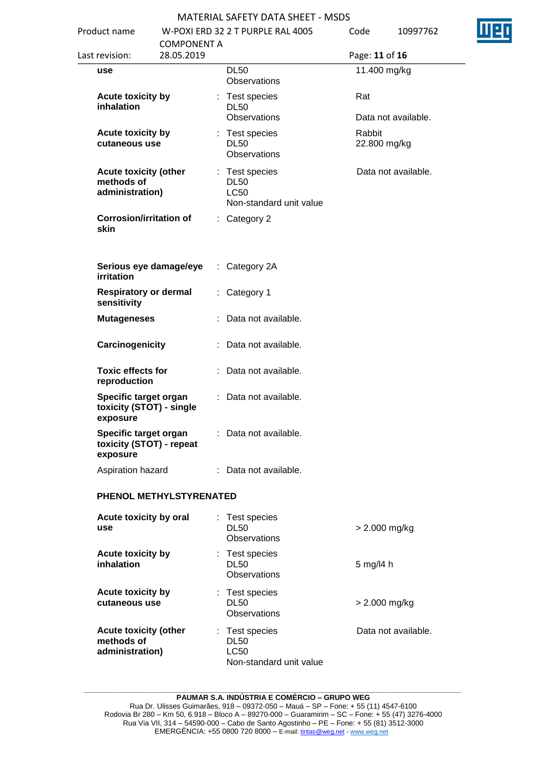

| Product name                                                  |                                  | W-POXI ERD 32 2 T PURPLE RAL 4005                                       | Code                   | 10997762            |
|---------------------------------------------------------------|----------------------------------|-------------------------------------------------------------------------|------------------------|---------------------|
| Last revision:                                                | <b>COMPONENT A</b><br>28.05.2019 |                                                                         | Page: 11 of 16         |                     |
| use                                                           |                                  | <b>DL50</b><br>Observations                                             | 11.400 mg/kg           |                     |
| Acute toxicity by<br>inhalation                               |                                  | : Test species<br><b>DL50</b><br>Observations                           | Rat                    | Data not available. |
| Acute toxicity by<br>cutaneous use                            |                                  | : Test species<br><b>DL50</b><br><b>Observations</b>                    | Rabbit<br>22.800 mg/kg |                     |
| <b>Acute toxicity (other</b><br>methods of<br>administration) |                                  | : Test species<br><b>DL50</b><br><b>LC50</b><br>Non-standard unit value |                        | Data not available. |
| <b>Corrosion/irritation of</b><br>skin                        |                                  | : Category 2                                                            |                        |                     |
| Serious eye damage/eye<br>irritation                          | ÷.                               | Category 2A                                                             |                        |                     |
| <b>Respiratory or dermal</b><br>sensitivity                   | t.                               | Category 1                                                              |                        |                     |
| <b>Mutageneses</b>                                            |                                  | Data not available.                                                     |                        |                     |
| Carcinogenicity                                               |                                  | : Data not available.                                                   |                        |                     |
| <b>Toxic effects for</b><br>reproduction                      |                                  | : Data not available.                                                   |                        |                     |
| Specific target organ<br>toxicity (STOT) - single<br>exposure |                                  | : Data not available.                                                   |                        |                     |
| Specific target organ<br>toxicity (STOT) - repeat<br>exposure |                                  | : Data not available.                                                   |                        |                     |
| Aspiration hazard                                             |                                  | : Data not available.                                                   |                        |                     |
|                                                               | PHENOL METHYLSTYRENATED          |                                                                         |                        |                     |
| Acute toxicity by oral<br>use                                 |                                  | Test species<br><b>DL50</b><br>Observations                             |                        | > 2.000 mg/kg       |
| Acute toxicity by<br>inhalation                               |                                  | : Test species<br><b>DL50</b><br>Observations                           | 5 mg/l4 h              |                     |
| <b>Acute toxicity by</b><br>cutaneous use                     |                                  | : Test species<br><b>DL50</b><br>Observations                           |                        | > 2.000 mg/kg       |
| <b>Acute toxicity (other</b><br>methods of<br>administration) |                                  | : Test species<br><b>DL50</b><br><b>LC50</b>                            |                        | Data not available. |

**\_\_\_\_\_\_\_\_\_\_\_\_\_\_\_\_\_\_\_\_\_\_\_\_\_\_\_\_\_\_\_\_\_\_\_\_\_\_\_\_\_\_\_\_\_\_\_\_\_\_\_\_\_\_\_\_\_\_\_\_\_\_\_\_\_\_\_\_\_\_\_\_\_\_\_\_\_\_\_\_\_\_\_\_\_\_\_\_\_\_\_\_\_ PAUMAR S.A. INDÚSTRIA E COMÉRCIO – GRUPO WEG**

Non-standard unit value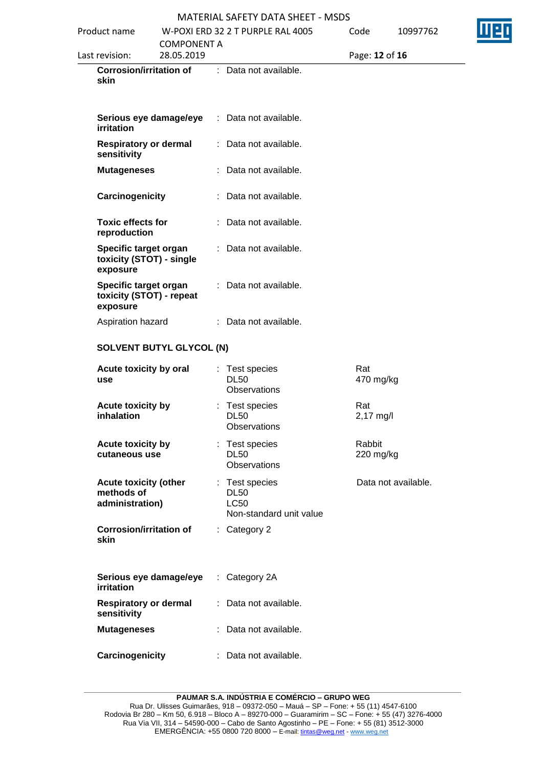| Product name                                                  | <b>COMPONENT A</b> | W-POXI ERD 32 2 T PURPLE RAL 4005                                       | Code                | 10997762            |  |
|---------------------------------------------------------------|--------------------|-------------------------------------------------------------------------|---------------------|---------------------|--|
| Last revision:                                                | 28.05.2019         |                                                                         | Page: 12 of 16      |                     |  |
| <b>Corrosion/irritation of</b><br>skin                        |                    | : Data not available.                                                   |                     |                     |  |
| Serious eye damage/eye<br><i>irritation</i>                   |                    | : Data not available.                                                   |                     |                     |  |
| <b>Respiratory or dermal</b><br>sensitivity                   |                    | : Data not available.                                                   |                     |                     |  |
| <b>Mutageneses</b>                                            |                    | : Data not available.                                                   |                     |                     |  |
| Carcinogenicity                                               |                    | : Data not available.                                                   |                     |                     |  |
| <b>Toxic effects for</b><br>reproduction                      |                    | : Data not available.                                                   |                     |                     |  |
| Specific target organ<br>toxicity (STOT) - single<br>exposure |                    | : Data not available.                                                   |                     |                     |  |
| Specific target organ<br>toxicity (STOT) - repeat<br>exposure |                    | : Data not available.                                                   |                     |                     |  |
| Aspiration hazard                                             |                    | : Data not available.                                                   |                     |                     |  |
| <b>SOLVENT BUTYL GLYCOL (N)</b>                               |                    |                                                                         |                     |                     |  |
| Acute toxicity by oral<br>use                                 |                    | : Test species<br><b>DL50</b><br>Observations                           | Rat<br>470 mg/kg    |                     |  |
| Acute toxicity by<br>inhalation                               |                    | Test species<br><b>DL50</b><br>Observations                             | Rat<br>2,17 mg/l    |                     |  |
| <b>Acute toxicity by</b><br>cutaneous use                     |                    | : Test species<br><b>DL50</b><br><b>Observations</b>                    | Rabbit<br>220 mg/kg |                     |  |
| <b>Acute toxicity (other</b><br>methods of<br>administration) |                    | : Test species<br><b>DL50</b><br><b>LC50</b><br>Non-standard unit value |                     | Data not available. |  |
| <b>Corrosion/irritation of</b><br>skin                        |                    | : Category 2                                                            |                     |                     |  |
| Serious eye damage/eye<br>irritation                          |                    | $:$ Category 2A                                                         |                     |                     |  |
| <b>Respiratory or dermal</b><br>sensitivity                   |                    | : Data not available.                                                   |                     |                     |  |
| <b>Mutageneses</b>                                            |                    | : Data not available.                                                   |                     |                     |  |
| Carcinogenicity                                               |                    | : Data not available.                                                   |                     |                     |  |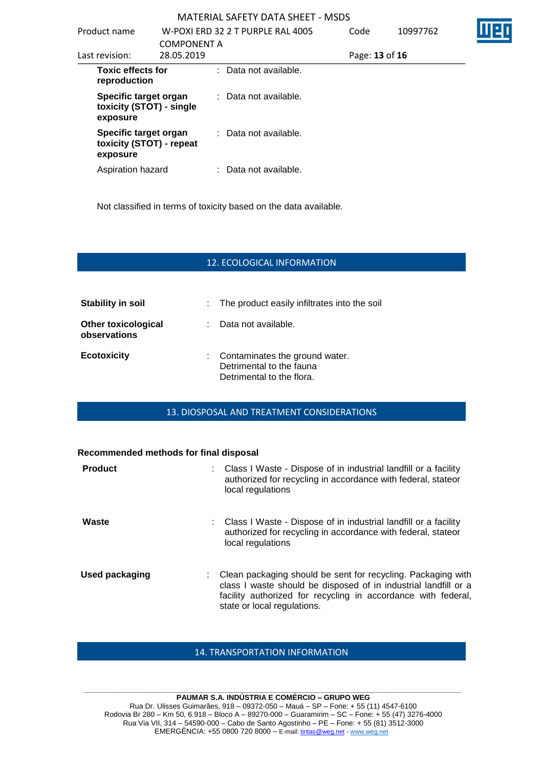| Product name                                                  | <b>COMPONENT A</b> | W-POXI ERD 32 2 T PURPLE RAL 4005 | Code           | 10997762 |  |
|---------------------------------------------------------------|--------------------|-----------------------------------|----------------|----------|--|
| Last revision:                                                | 28.05.2019         |                                   | Page: 13 of 16 |          |  |
| <b>Toxic effects for</b><br>reproduction                      |                    | : Data not available.             |                |          |  |
| Specific target organ<br>toxicity (STOT) - single<br>exposure |                    | : Data not available.             |                |          |  |
| Specific target organ<br>toxicity (STOT) - repeat<br>exposure |                    | : Data not available.             |                |          |  |
| Aspiration hazard                                             |                    | : Data not available.             |                |          |  |

Not classified in terms of toxicity based on the data available.

## 12. ECOLOGICAL INFORMATION

| Stability in soil                          |    | : The product easily infiltrates into the soil                                            |
|--------------------------------------------|----|-------------------------------------------------------------------------------------------|
| <b>Other toxicological</b><br>observations | ÷. | Data not available.                                                                       |
| <b>Ecotoxicity</b>                         |    | : Contaminates the ground water.<br>Detrimental to the fauna<br>Detrimental to the flora. |

## 13. DIOSPOSAL AND TREATMENT CONSIDERATIONS

#### **Recommended methods for final disposal**

| <b>Product</b> | : Class I Waste - Dispose of in industrial landfill or a facility<br>authorized for recycling in accordance with federal, stateor<br>local regulations                                                                            |
|----------------|-----------------------------------------------------------------------------------------------------------------------------------------------------------------------------------------------------------------------------------|
| Waste          | : Class I Waste - Dispose of in industrial landfill or a facility<br>authorized for recycling in accordance with federal, stateor<br>local regulations                                                                            |
| Used packaging | : Clean packaging should be sent for recycling. Packaging with<br>class I waste should be disposed of in industrial landfill or a<br>facility authorized for recycling in accordance with federal,<br>state or local regulations. |

## 14. TRANSPORTATION INFORMATION

#### **\_\_\_\_\_\_\_\_\_\_\_\_\_\_\_\_\_\_\_\_\_\_\_\_\_\_\_\_\_\_\_\_\_\_\_\_\_\_\_\_\_\_\_\_\_\_\_\_\_\_\_\_\_\_\_\_\_\_\_\_\_\_\_\_\_\_\_\_\_\_\_\_\_\_\_\_\_\_\_\_\_\_\_\_\_\_\_\_\_\_\_\_\_ PAUMAR S.A. INDÚSTRIA E COMÉRCIO – GRUPO WEG** Rua Dr. Ulisses Guimarães, 918 – 09372-050 – Mauá – SP – Fone: + 55 (11) 4547-6100 Rodovia Br 280 – Km 50, 6.918 – Bloco A – 89270-000 – Guaramirim – SC – Fone: + 55 (47) 3276-4000 Rua Via VII, 314 – 54590-000 – Cabo de Santo Agostinho – PE – Fone: + 55 (81) 3512-3000 EMERGËNCIA: +55 0800 720 8000 – E-mail[: tintas@weg.net](mailto:tintas@weg.net) - [www.weg.net](http://www.weg.net/)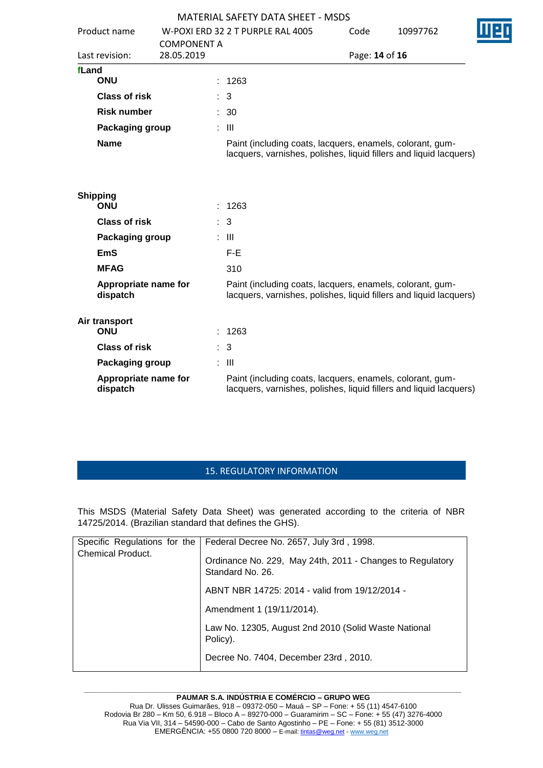|       |                                  |                    |    | <b>MATERIAL SAFETY DATA SHEET - MSDS</b>                                                                                        |                |          |  |
|-------|----------------------------------|--------------------|----|---------------------------------------------------------------------------------------------------------------------------------|----------------|----------|--|
|       | Product name                     |                    |    | W-POXI ERD 32 2 T PURPLE RAL 4005                                                                                               | Code           | 10997762 |  |
|       |                                  | <b>COMPONENT A</b> |    |                                                                                                                                 |                |          |  |
|       | Last revision:                   | 28.05.2019         |    |                                                                                                                                 | Page: 14 of 16 |          |  |
| fLand |                                  |                    |    |                                                                                                                                 |                |          |  |
|       | ONU                              |                    |    | 1263                                                                                                                            |                |          |  |
|       | <b>Class of risk</b>             |                    |    | : 3                                                                                                                             |                |          |  |
|       | <b>Risk number</b>               |                    |    | $\therefore$ 30                                                                                                                 |                |          |  |
|       | Packaging group                  |                    | ÷. | $\mathbf{III}$                                                                                                                  |                |          |  |
|       | <b>Name</b>                      |                    |    | Paint (including coats, lacquers, enamels, colorant, gum-<br>lacquers, varnishes, polishes, liquid fillers and liquid lacquers) |                |          |  |
|       | <b>Shipping</b><br><b>ONU</b>    |                    | ÷. | 1263                                                                                                                            |                |          |  |
|       | <b>Class of risk</b>             |                    | ÷. | 3                                                                                                                               |                |          |  |
|       | Packaging group                  |                    | ÷. | Ш                                                                                                                               |                |          |  |
|       | EmS                              |                    |    | $F-E$                                                                                                                           |                |          |  |
|       | <b>MFAG</b>                      |                    |    | 310                                                                                                                             |                |          |  |
|       | Appropriate name for<br>dispatch |                    |    | Paint (including coats, lacquers, enamels, colorant, gum-<br>lacquers, varnishes, polishes, liquid fillers and liquid lacquers) |                |          |  |
|       | Air transport<br><b>ONU</b>      |                    |    | : 1263                                                                                                                          |                |          |  |
|       | <b>Class of risk</b>             |                    | ÷. | 3                                                                                                                               |                |          |  |
|       | Packaging group                  |                    |    | $\therefore$ $\blacksquare$                                                                                                     |                |          |  |
|       | Appropriate name for<br>dispatch |                    |    | Paint (including coats, lacquers, enamels, colorant, gum-<br>lacquers, varnishes, polishes, liquid fillers and liquid lacquers) |                |          |  |

## 15. REGULATORY INFORMATION

This MSDS (Material Safety Data Sheet) was generated according to the criteria of NBR 14725/2014. (Brazilian standard that defines the GHS).

| Specific Regulations for the | Federal Decree No. 2657, July 3rd, 1998.                                      |
|------------------------------|-------------------------------------------------------------------------------|
| Chemical Product.            | Ordinance No. 229, May 24th, 2011 - Changes to Regulatory<br>Standard No. 26. |
|                              | ABNT NBR 14725: 2014 - valid from 19/12/2014 -                                |
|                              | Amendment 1 (19/11/2014).                                                     |
|                              | Law No. 12305, August 2nd 2010 (Solid Waste National<br>Policy).              |
|                              | Decree No. 7404, December 23rd, 2010.                                         |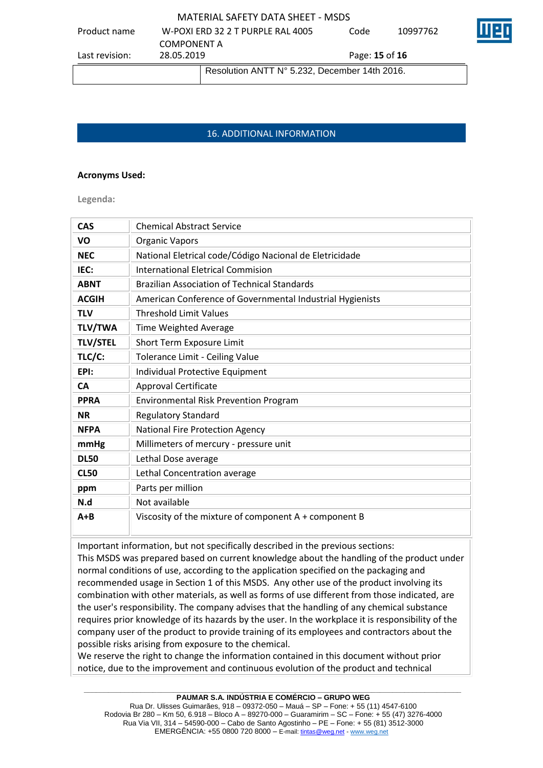|                |                                   | Resolution ANTT N° 5.232, December 14th 2016. |                              |    |
|----------------|-----------------------------------|-----------------------------------------------|------------------------------|----|
| Last revision: | <b>COMPONENT A</b><br>28.05.2019  |                                               | Page: <b>15</b> of <b>16</b> |    |
| Product name   | W-POXI ERD 32 2 T PURPLE RAL 4005 | Code                                          | 10997762                     | IШ |

## 16. ADDITIONAL INFORMATION

## **Acronyms Used:**

**Legenda:**

| <b>CAS</b>      | <b>Chemical Abstract Service</b>                          |
|-----------------|-----------------------------------------------------------|
| VO              | <b>Organic Vapors</b>                                     |
| <b>NEC</b>      | National Eletrical code/Código Nacional de Eletricidade   |
| IEC:            | <b>International Eletrical Commision</b>                  |
| <b>ABNT</b>     | <b>Brazilian Association of Technical Standards</b>       |
| <b>ACGIH</b>    | American Conference of Governmental Industrial Hygienists |
| <b>TLV</b>      | <b>Threshold Limit Values</b>                             |
| <b>TLV/TWA</b>  | Time Weighted Average                                     |
| <b>TLV/STEL</b> | Short Term Exposure Limit                                 |
| TLC/C:          | Tolerance Limit - Ceiling Value                           |
| EPI:            | Individual Protective Equipment                           |
| <b>CA</b>       | <b>Approval Certificate</b>                               |
| <b>PPRA</b>     | <b>Environmental Risk Prevention Program</b>              |
| <b>NR</b>       | <b>Regulatory Standard</b>                                |
| <b>NFPA</b>     | National Fire Protection Agency                           |
| mmHg            | Millimeters of mercury - pressure unit                    |
| <b>DL50</b>     | Lethal Dose average                                       |
| <b>CL50</b>     | Lethal Concentration average                              |
| ppm             | Parts per million                                         |
| N.d             | Not available                                             |
| $A + B$         | Viscosity of the mixture of component $A + component B$   |

Important information, but not specifically described in the previous sections: This MSDS was prepared based on current knowledge about the handling of the product under normal conditions of use, according to the application specified on the packaging and recommended usage in Section 1 of this MSDS. Any other use of the product involving its combination with other materials, as well as forms of use different from those indicated, are the user's responsibility. The company advises that the handling of any chemical substance requires prior knowledge of its hazards by the user. In the workplace it is responsibility of the company user of the product to provide training of its employees and contractors about the possible risks arising from exposure to the chemical.

We reserve the right to change the information contained in this document without prior notice, due to the improvement and continuous evolution of the product and technical

#### **\_\_\_\_\_\_\_\_\_\_\_\_\_\_\_\_\_\_\_\_\_\_\_\_\_\_\_\_\_\_\_\_\_\_\_\_\_\_\_\_\_\_\_\_\_\_\_\_\_\_\_\_\_\_\_\_\_\_\_\_\_\_\_\_\_\_\_\_\_\_\_\_\_\_\_\_\_\_\_\_\_\_\_\_\_\_\_\_\_\_\_\_\_ PAUMAR S.A. INDÚSTRIA E COMÉRCIO – GRUPO WEG**